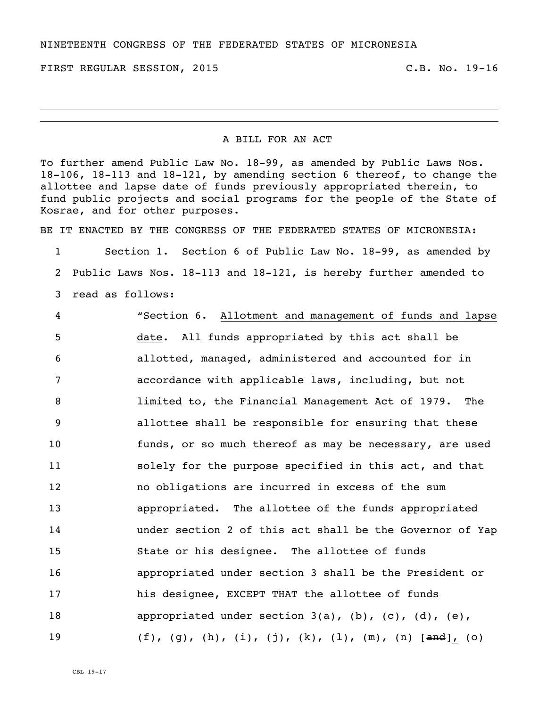NINETEENTH CONGRESS OF THE FEDERATED STATES OF MICRONESIA

FIRST REGULAR SESSION, 2015 TRANSLAU C.B. No. 19-16

## A BILL FOR AN ACT

To further amend Public Law No. 18-99, as amended by Public Laws Nos. 18-106, 18-113 and 18-121, by amending section 6 thereof, to change the allottee and lapse date of funds previously appropriated therein, to fund public projects and social programs for the people of the State of Kosrae, and for other purposes.

BE IT ENACTED BY THE CONGRESS OF THE FEDERATED STATES OF MICRONESIA:

1 Section 1. Section 6 of Public Law No. 18-99, as amended by 2 Public Laws Nos. 18-113 and 18-121, is hereby further amended to 3 read as follows:

 "Section 6. Allotment and management of funds and lapse date. All funds appropriated by this act shall be allotted, managed, administered and accounted for in accordance with applicable laws, including, but not limited to, the Financial Management Act of 1979. The allottee shall be responsible for ensuring that these funds, or so much thereof as may be necessary, are used **Solely for the purpose specified in this act, and that**  no obligations are incurred in excess of the sum appropriated. The allottee of the funds appropriated under section 2 of this act shall be the Governor of Yap State or his designee. The allottee of funds appropriated under section 3 shall be the President or his designee, EXCEPT THAT the allottee of funds 18 appropriated under section 3(a), (b), (c), (d), (e), 19 (f), (g), (h), (i), (j), (k), (l), (m), (n) [and], (o)

CBL 19-17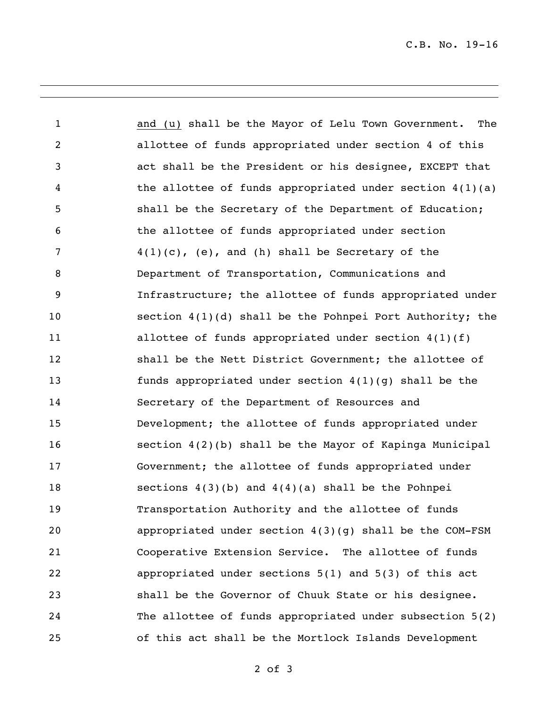C.B. No. 19-16

 and (u) shall be the Mayor of Lelu Town Government. The allottee of funds appropriated under section 4 of this act shall be the President or his designee, EXCEPT that the allottee of funds appropriated under section 4(1)(a) shall be the Secretary of the Department of Education; the allottee of funds appropriated under section  $4(1)(c)$ , (e), and (h) shall be Secretary of the Department of Transportation, Communications and Infrastructure; the allottee of funds appropriated under section 4(1)(d) shall be the Pohnpei Port Authority; the 11 allottee of funds appropriated under section  $4(1)(f)$  shall be the Nett District Government; the allottee of funds appropriated under section 4(1)(g) shall be the Secretary of the Department of Resources and Development; the allottee of funds appropriated under section 4(2)(b) shall be the Mayor of Kapinga Municipal Government; the allottee of funds appropriated under sections 4(3)(b) and 4(4)(a) shall be the Pohnpei Transportation Authority and the allottee of funds appropriated under section 4(3)(g) shall be the COM-FSM Cooperative Extension Service. The allottee of funds appropriated under sections 5(1) and 5(3) of this act shall be the Governor of Chuuk State or his designee. The allottee of funds appropriated under subsection 5(2) of this act shall be the Mortlock Islands Development